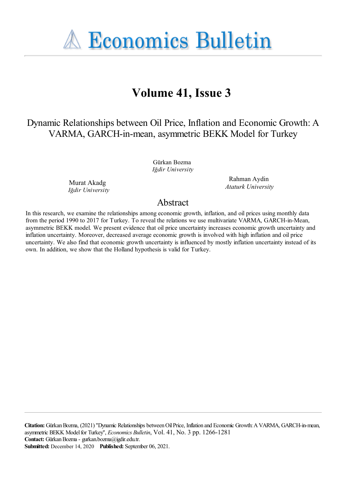**A Economics Bulletin** 

# **Volume 41, Issue 3**

Dynamic Relationships between Oil Price, Inflation and Economic Growth: A VARMA, GARCH-in-mean, asymmetric BEKK Model for Turkey

> Gürkan Bozma *Iğdir University*

Murat Akadg *Iğdir University*

Rahman Aydin *Ataturk University*

# Abstract

In this research, we examine the relationships among economic growth, inflation, and oil prices using monthly data from the period 1990 to 2017 for Turkey. To reveal the relations we use multivariate VARMA, GARCH-in-Mean, asymmetric BEKK model. We present evidence that oil price uncertainty increases economic growth uncertainty and inflation uncertainty. Moreover, decreased average economic growth is involved with high inflation and oil price uncertainty. We also find that economic growth uncertainty is influenced by mostly inflation uncertainty instead of its own. In addition, we show that the Holland hypothesis is valid for Turkey.

**Citation:** GürkanBozma, (2021) ''Dynamic Relationships betweenOilPrice, Inflation and Economic Growth:AVARMA, GARCH-in-mean, asymmetric BEKK Model for Turkey'', *Economics Bulletin*, Vol. 41, No. 3 pp. 1266-1281 **Contact:** GürkanBozma- gurkan.bozma@igdir.edu.tr. **Submitted:** December 14, 2020 **Published:** September 06, 2021.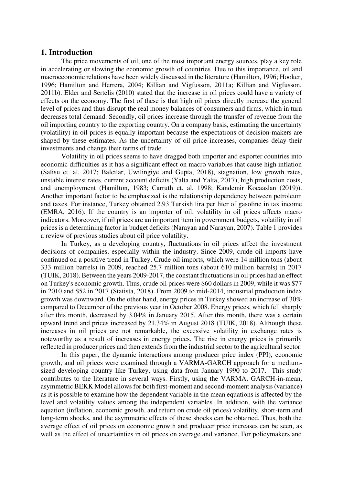#### **1. Introduction**

The price movements of oil, one of the most important energy sources, play a key role in accelerating or slowing the economic growth of countries. Due to this importance, oil and macroeconomic relations have been widely discussed in the literature (Hamilton, 1996; Hooker, 1996; Hamilton and Herrera, 2004; Killian and Vigfusson, 2011a; Killian and Vigfusson, 2011b). Elder and Sertelis (2010) stated that the increase in oil prices could have a variety of effects on the economy. The first of these is that high oil prices directly increase the general level of prices and thus disrupt the real money balances of consumers and firms, which in turn decreases total demand. Secondly, oil prices increase through the transfer of revenue from the oil importing country to the exporting country. On a company basis, estimating the uncertainty (volatility) in oil prices is equally important because the expectations of decision-makers are shaped by these estimates. As the uncertainty of oil price increases, companies delay their investments and change their terms of trade.

Volatility in oil prices seems to have dragged both importer and exporter countries into economic difficulties as it has a significant effect on macro variables that cause high inflation (Salisu et. al, 2017; Balcilar, Uwilingiye and Gupta, 2018), stagnation, low growth rates, unstable interest rates, current account deficits (Yalta and Yalta, 2017), high production costs, and unemployment (Hamilton, 1983; Carruth et. al, 1998; Kandemir Kocaaslan (2019)). Another important factor to be emphasized is the relationship dependency between petroleum and taxes. For instance, Turkey obtained 2.93 Turkish lira per liter of gasoline in tax income (EMRA, 2016). If the country is an importer of oil, volatility in oil prices affects macro indicators. Moreover, if oil prices are an important item in government budgets, volatility in oil prices is a determining factor in budget deficits (Narayan and Narayan, 2007). Table 1 provides a review of previous studies about oil price volatility.

In Turkey, as a developing country, fluctuations in oil prices affect the investment decisions of companies, especially within the industry. Since 2009, crude oil imports have continued on a positive trend in Turkey. Crude oil imports, which were 14 million tons (about 333 million barrels) in 2009, reached 25.7 million tons (about 610 million barrels) in 2017 (TUIK, 2018). Between the years 2009-2017, the constant fluctuations in oil prices had an effect on Turkey's economic growth. Thus, crude oil prices were \$60 dollars in 2009, while it was \$77 in 2010 and \$52 in 2017 (Statista, 2018). From 2009 to mid-2014, industrial production index growth was downward. On the other hand, energy prices in Turkey showed an increase of 30% compared to December of the previous year in October 2008. Energy prices, which fell sharply after this month, decreased by 3.04% in January 2015. After this month, there was a certain upward trend and prices increased by 21.34% in August 2018 (TUIK, 2018). Although these increases in oil prices are not remarkable, the excessive volatility in exchange rates is noteworthy as a result of increases in energy prices. The rise in energy prices is primarily reflected in producer prices and then extends from the industrial sector to the agricultural sector.

In this paper, the dynamic interactions among producer price index (PPI), economic growth, and oil prices were examined through a VARMA-GARCH approach for a mediumsized developing country like Turkey, using data from January 1990 to 2017. This study contributes to the literature in several ways. Firstly, using the VARMA, GARCH-in-mean, asymmetric BEKK Model allows for both first-moment and second-moment analysis (variance) as it is possible to examine how the dependent variable in the mean equations is affected by the level and volatility values among the independent variables. In addition, with the variance equation (inflation, economic growth, and return on crude oil prices) volatility, short-term and long-term shocks, and the asymmetric effects of these shocks can be obtained. Thus, both the average effect of oil prices on economic growth and producer price increases can be seen, as well as the effect of uncertainties in oil prices on average and variance. For policymakers and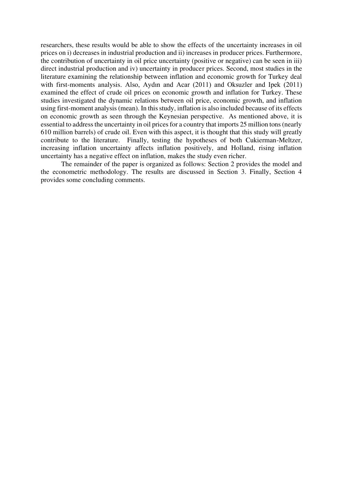researchers, these results would be able to show the effects of the uncertainty increases in oil prices on i) decreases in industrial production and ii) increases in producer prices. Furthermore, the contribution of uncertainty in oil price uncertainty (positive or negative) can be seen in iii) direct industrial production and iv) uncertainty in producer prices. Second, most studies in the literature examining the relationship between inflation and economic growth for Turkey deal with first-moments analysis. Also, Aydın and Acar (2011) and Oksuzler and Ipek (2011) examined the effect of crude oil prices on economic growth and inflation for Turkey. These studies investigated the dynamic relations between oil price, economic growth, and inflation using first-moment analysis (mean). In this study, inflation is also included because of its effects on economic growth as seen through the Keynesian perspective. As mentioned above, it is essential to address the uncertainty in oil prices for a country that imports 25 million tons (nearly 610 million barrels) of crude oil. Even with this aspect, it is thought that this study will greatly contribute to the literature. Finally, testing the hypotheses of both Cukierman-Meltzer, increasing inflation uncertainty affects inflation positively, and Holland, rising inflation uncertainty has a negative effect on inflation, makes the study even richer.

The remainder of the paper is organized as follows: Section 2 provides the model and the econometric methodology. The results are discussed in Section 3. Finally, Section 4 provides some concluding comments.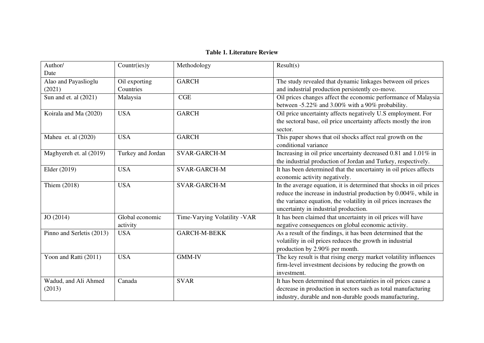## **Table 1. Literature Review**

| Author/                   | Countr(ies)y      | Methodology                  | Result(s)                                                           |
|---------------------------|-------------------|------------------------------|---------------------------------------------------------------------|
| Date                      |                   |                              |                                                                     |
| Alao and Payaslioglu      | Oil exporting     | <b>GARCH</b>                 | The study revealed that dynamic linkages between oil prices         |
| (2021)                    | Countries         |                              | and industrial production persistently co-move.                     |
| Sun and et. al $(2021)$   | Malaysia          | CGE                          | Oil prices changes affect the economic performance of Malaysia      |
|                           |                   |                              | between -5.22% and 3.00% with a 90% probability.                    |
| Koirala and Ma (2020)     | <b>USA</b>        | <b>GARCH</b>                 | Oil price uncertainty affects negatively U.S employment. For        |
|                           |                   |                              | the sectoral base, oil price uncertainty affects mostly the iron    |
|                           |                   |                              | sector.                                                             |
| Maheu et. al (2020)       | <b>USA</b>        | <b>GARCH</b>                 | This paper shows that oil shocks affect real growth on the          |
|                           |                   |                              | conditional variance                                                |
| Maghyereh et. al (2019)   | Turkey and Jordan | <b>SVAR-GARCH-M</b>          | Increasing in oil price uncertainty decreased 0.81 and 1.01% in     |
|                           |                   |                              | the industrial production of Jordan and Turkey, respectively.       |
| Elder (2019)              | <b>USA</b>        | <b>SVAR-GARCH-M</b>          | It has been determined that the uncertainty in oil prices affects   |
|                           |                   |                              | economic activity negatively.                                       |
| Thiem (2018)              | <b>USA</b>        | <b>SVAR-GARCH-M</b>          | In the average equation, it is determined that shocks in oil prices |
|                           |                   |                              | reduce the increase in industrial production by 0.004%, while in    |
|                           |                   |                              | the variance equation, the volatility in oil prices increases the   |
|                           |                   |                              | uncertainty in industrial production.                               |
| JO (2014)                 | Global economic   | Time-Varying Volatility -VAR | It has been claimed that uncertainty in oil prices will have        |
|                           | activity          |                              | negative consequences on global economic activity.                  |
| Pinno and Serletis (2013) | <b>USA</b>        | <b>GARCH-M-BEKK</b>          | As a result of the findings, it has been determined that the        |
|                           |                   |                              | volatility in oil prices reduces the growth in industrial           |
|                           |                   |                              | production by 2.90% per month.                                      |
| Yoon and Ratti (2011)     | <b>USA</b>        | <b>GMM-IV</b>                | The key result is that rising energy market volatility influences   |
|                           |                   |                              | firm-level investment decisions by reducing the growth on           |
|                           |                   |                              | investment.                                                         |
| Wadud, and Ali Ahmed      | Canada            | <b>SVAR</b>                  | It has been determined that uncertainties in oil prices cause a     |
| (2013)                    |                   |                              | decrease in production in sectors such as total manufacturing       |
|                           |                   |                              | industry, durable and non-durable goods manufacturing,              |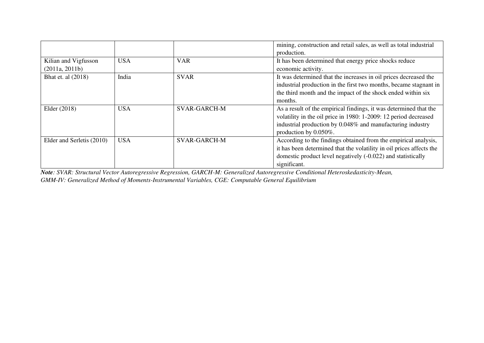|                           |            |                     | mining, construction and retail sales, as well as total industrial   |
|---------------------------|------------|---------------------|----------------------------------------------------------------------|
|                           |            |                     | production.                                                          |
| Kilian and Vigfusson      | <b>USA</b> | <b>VAR</b>          | It has been determined that energy price shocks reduce               |
| (2011a, 2011b)            |            |                     | economic activity.                                                   |
| Bhat et. al (2018)        | India      | <b>SVAR</b>         | It was determined that the increases in oil prices decreased the     |
|                           |            |                     | industrial production in the first two months, became stagnant in    |
|                           |            |                     | the third month and the impact of the shock ended within six         |
|                           |            |                     | months.                                                              |
| Elder (2018)              | <b>USA</b> | <b>SVAR-GARCH-M</b> | As a result of the empirical findings, it was determined that the    |
|                           |            |                     | volatility in the oil price in 1980: 1-2009: 12 period decreased     |
|                           |            |                     | industrial production by 0.048% and manufacturing industry           |
|                           |            |                     | production by $0.050\%$ .                                            |
| Elder and Serletis (2010) | <b>USA</b> | <b>SVAR-GARCH-M</b> | According to the findings obtained from the empirical analysis,      |
|                           |            |                     | it has been determined that the volatility in oil prices affects the |
|                           |            |                     | domestic product level negatively (-0.022) and statistically         |
|                           |            |                     | significant.                                                         |

*Note: SVAR: Structural Vector Autoregressive Regression, GARCH-M: Generalized Autoregressive Conditional Heteroskedasticity-Mean,* 

*GMM-IV: Generalized Method of Moments-Instrumental Variables, CGE: Computable General Equilibrium*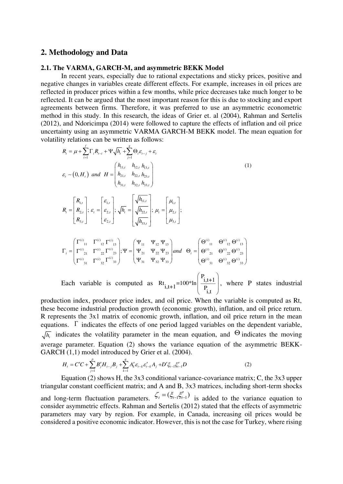#### **2. Methodology and Data**

#### **2.1. The VARMA, GARCH-M, and asymmetric BEKK Model**

*f* and  $\overline{g}$ 

In recent years, especially due to rational expectations and sticky prices, positive and negative changes in variables create different effects. For example, increases in oil prices are reflected in producer prices within a few months, while price decreases take much longer to be reflected. It can be argued that the most important reason for this is due to stocking and export agreements between firms. Therefore, it was preferred to use an asymmetric econometric method in this study. In this research, the ideas of Grier et. al (2004), Rahman and Sertelis (2012), and Ndoricimpa (2014) were followed to capture the effects of inflation and oil price uncertainty using an asymmetric VARMA GARCH-M BEKK model. The mean equation for volatility relations can be written as follows:

$$
R_{i} = \mu + \sum_{i=1}^{n} \Gamma_{i} R_{i-i} + \Psi \sqrt{h_{i}} + \sum_{j=1}^{n} \Theta_{i} \varepsilon_{i-j} + \varepsilon_{i}
$$
\n
$$
\varepsilon_{i} \sim (0, H_{i}) \text{ and } H = \begin{pmatrix} h_{11,i} & h_{12,i} & h_{13,i} \\ h_{21,i} & h_{22,i} & h_{23,i} \\ h_{31,i} & h_{32,i} & h_{33,i} \end{pmatrix}
$$
\n
$$
R_{i} = \begin{bmatrix} R_{1,i} \\ R_{2,i} \\ R_{3,i} \end{bmatrix}; \varepsilon_{i} = \begin{bmatrix} \varepsilon_{1,i} \\ \varepsilon_{2,i} \\ \varepsilon_{3,i} \end{bmatrix}; \sqrt{h_{i}} = \begin{bmatrix} \sqrt{h_{11,i}} \\ \sqrt{h_{22,i}} \\ \sqrt{h_{33,i}} \end{bmatrix}; \mu_{i} = \begin{bmatrix} \mu_{i1} \\ \mu_{2i} \\ \mu_{3i} \end{bmatrix};
$$
\n
$$
\Gamma_{i} = \begin{bmatrix} \Gamma^{(i)}_{11} & \Gamma^{(i)}_{12} & \Gamma^{(i)}_{13} \\ \Gamma^{(i)}_{21} & \Gamma^{(i)}_{22} & \Gamma^{(i)}_{23} \\ \Gamma^{(i)}_{31} & \Gamma^{(i)}_{32} & \Gamma^{(i)}_{33} \end{bmatrix}; \Psi = \begin{bmatrix} \Psi_{11} & \Psi_{12} & \Psi_{13} \\ \Psi_{21} & \Psi_{22} & \Psi_{23} \\ \Psi_{31} & \Psi_{32} & \Psi_{33} \end{bmatrix} \text{ and } \Theta_{i} = \begin{bmatrix} \Theta^{(i)}_{11} & \Theta^{(i)}_{12} & \Theta^{(i)}_{13} \\ \Theta^{(i)}_{21} & \Theta^{(i)}_{22} & \Theta^{(i)}_{23} \\ \Theta^{(i)}_{31} & \Theta^{(i)}_{32} & \Theta^{(i)}_{33} \end{bmatrix}
$$
\nEach variable is computed as  $R_{i_{i},t+1} = 100$ \*ln $\begin{bmatrix} \frac{P_{i},t+1}{P_{i}} \\ \frac{P_{i},t+1}{P_{i}} \end{bmatrix}$ , where P states industrial

production index, producer price index, and oil price. When the variable is computed as Rt, these become industrial production growth (economic growth), inflation, and oil price return. R represents the 3x1 matrix of economic growth, inflation, and oil price return in the mean equations.  $\Gamma$  indicates the effects of one period lagged variables on the dependent variable,  $\overline{h_{t}}$  indicates the volatility parameter in the mean equation, and  $\Theta$  indicates the moving average parameter. Equation (2) shows the variance equation of the asymmetric BEKK-GARCH  $(1,1)$  model introduced by Grier et al.  $(2004)$ .

$$
H_{t} = C'C + \sum_{j=1}^{p} B'_{j} H_{t-j} B_{j} + \sum_{k=1}^{q} A'_{k} \varepsilon_{t-k} \varepsilon'_{t-k} A_{j} + D' \xi_{t-1} \xi'_{t-1} D
$$
\n(2)

Equation (2) shows H, the 3x3 conditional variance-covariance matrix; C, the 3x3 upper triangular constant coefficient matrix; and A and B, 3x3 matrices, including short-term shocks and long-term fluctuation parameters.  $\zeta_t = (\xi_{t-1} \xi'_{t-1})$  is added to the variance equation to consider asymmetric effects. Rahman and Sertelis (2012) stated that the effects of asymmetric parameters may vary by region. For example, in Canada, increasing oil prices would be considered a positive economic indicator. However, this is not the case for Turkey, where rising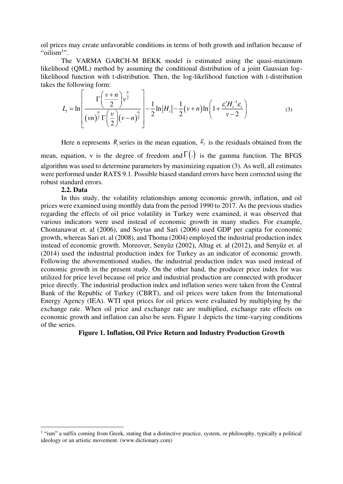oil prices may create unfavorable conditions in terms of both growth and inflation because of "oilism<sup>1</sup>".

The VARMA GARCH-M BEKK model is estimated using the quasi-maximum likelihood (QML) method by assuming the conditional distribution of a joint Gaussian loglikelihood function with t-distribution. Then, the log-likelihood function with t-distribution takes the following form:

$$
L_{t} = \ln \left[ \frac{\Gamma \left( \frac{\nu + n}{2} \right) v^{\frac{n}{2}}}{(\nu n)^{\frac{n}{2}} \Gamma \left( \frac{\nu}{2} \right) (\nu - n)^{\frac{n}{2}}} \right] - \frac{1}{2} \ln |H_{t}| - \frac{1}{2} (\nu + n) \ln \left( 1 + \frac{\varepsilon_{t}' H_{t}^{-1} \varepsilon_{t}}{\nu - 2} \right)
$$
(3)

Here n represents  $R_t$  series in the mean equation,  $\epsilon_t$  is the residuals obtained from the mean, equation, v is the degree of freedom and  $\Gamma(.)$  is the gamma function. The BFGS algorithm was used to determine parameters by maximizing equation (3). As well, all estimates were performed under RATS 9.1. Possible biased standard errors have been corrected using the robust standard errors.

#### **2.2. Data**

In this study, the volatility relationships among economic growth, inflation, and oil prices were examined using monthly data from the period 1990 to 2017. As the previous studies regarding the effects of oil price volatility in Turkey were examined, it was observed that various indicators were used instead of economic growth in many studies. For example, Chontanawat et. al (2006), and Soytas and Sari (2006) used GDP per capita for economic growth, whereas Sari et. al (2008), and Thoma (2004) employed the industrial production index instead of economic growth. Moreover, Senyüz (2002), Altug et. al (2012), and Senyüz et. al (2014) used the industrial production index for Turkey as an indicator of economic growth. Following the abovementioned studies, the industrial production index was used instead of economic growth in the present study. On the other hand, the producer price index for was utilized for price level because oil price and industrial production are connected with producer price directly. The industrial production index and inflation series were taken from the Central Bank of the Republic of Turkey (CBRT), and oil prices were taken from the International Energy Agency (IEA). WTI spot prices for oil prices were evaluated by multiplying by the exchange rate. When oil price and exchange rate are multiplied, exchange rate effects on economic growth and inflation can also be seen. Figure 1 depicts the time-varying conditions of the series.

#### **Figure 1. Inflation, Oil Price Return and Industry Production Growth**

<sup>&</sup>lt;sup>1</sup> "ism" a suffix coming from Greek, stating that a distinctive practice, system, or philosophy, typically a political ideology or an artistic movement. (www.dictionary.com)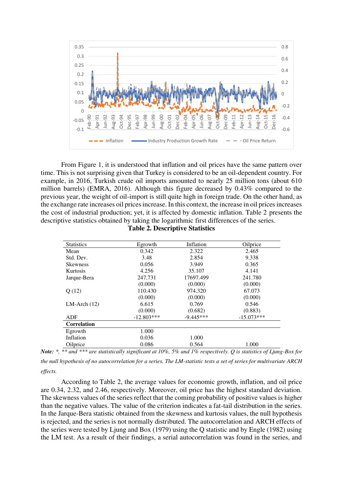

From Figure 1, it is understood that inflation and oil prices have the same pattern over time. This is not surprising given that Turkey is considered to be an oil-dependent country. For example, in 2016, Turkish crude oil imports amounted to nearly 25 million tons (about 610 million barrels) (EMRA, 2016). Although this figure decreased by 0.43% compared to the previous year, the weight of oil-import is still quite high in foreign trade. On the other hand, as the exchange rate increases oil prices increase. In this context, the increase in oil prices increases the cost of industrial production; yet, it is affected by domestic inflation. Table 2 presents the descriptive statistics obtained by taking the logarithmic first differences of the series.

| <b>Statistics</b>  | Egrowth      | Inflation   | Oilprice     |
|--------------------|--------------|-------------|--------------|
| Mean               | 0.342        | 2.322       | 2.465        |
| Std. Dev.          | 3.48         | 2.854       | 9.338        |
| <b>Skewness</b>    | 0.056        | 3.949       | 0.365        |
| Kurtosis           | 4.256        | 35.107      | 4.141        |
| Jarque-Bera        | 247.731      | 17697.499   | 241.780      |
|                    | (0.000)      | (0.000)     | (0.000)      |
| Q(12)              | 110.430      | 974.320     | 67.073       |
|                    | (0.000)      | (0.000)     | (0.000)      |
| $LM-Arch (12)$     | 6.615        | 0.769       | 0.546        |
|                    | (0.000)      | (0.682)     | (0.883)      |
| ADF                | $-12.803***$ | $-9.445***$ | $-15.073***$ |
| <b>Correlation</b> |              |             |              |
| Egrowth            | 1.000        |             |              |
| Inflation          | 0.036        | 1.000       |              |
| Oilprice           | 0.086        | 0.564       | 1.000        |

**Table 2. Descriptive Statistics** 

*the null hypothesis of no autocorrelation for a series. The LM-statistic tests a set of series for multivariate ARCH effects.*

According to Table 2, the average values for economic growth, inflation, and oil price are 0.34, 2.32, and 2.46, respectively. Moreover, oil price has the highest standard deviation. The skewness values of the series reflect that the coming probability of positive values is higher than the negative values. The value of the criterion indicates a fat-tail distribution in the series. In the Jarque-Bera statistic obtained from the skewness and kurtosis values, the null hypothesis is rejected, and the series is not normally distributed. The autocorrelation and ARCH effects of the series were tested by Ljung and Box (1979) using the Q statistic and by Engle (1982) using the LM test. As a result of their findings, a serial autocorrelation was found in the series, and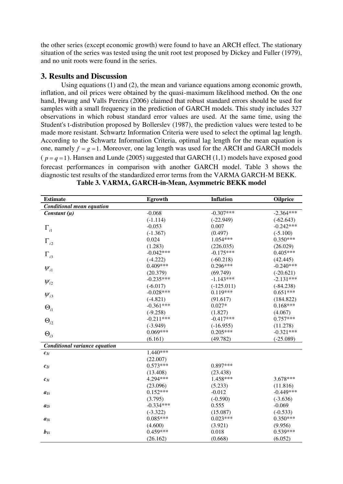the other series (except economic growth) were found to have an ARCH effect. The stationary situation of the series was tested using the unit root test proposed by Dickey and Fuller (1979), and no unit roots were found in the series.

## **3. Results and Discussion**

Using equations (1) and (2), the mean and variance equations among economic growth, inflation, and oil prices were obtained by the quasi-maximum likelihood method. On the one hand, Hwang and Valls Pereira (2006) claimed that robust standard errors should be used for samples with a small frequency in the prediction of GARCH models. This study includes 327 observations in which robust standard error values are used. At the same time, using the Student's t-distribution proposed by Bollerslev (1987), the prediction values were tested to be made more resistant. Schwartz Information Criteria were used to select the optimal lag length. According to the Schwartz Information Criteria, optimal lag length for the mean equation is one, namely  $f = g = 1$ . Moreover, one lag length was used for the ARCH and GARCH models ( $p = q = 1$ ). Hansen and Lunde (2005) suggested that GARCH (1,1) models have exposed good forecast performances in comparison with another GARCH model. Table 3 shows the diagnostic test results of the standardized error terms from the VARMA GARCH-M BEKK.

| <b>Estimate</b>                  | <b>Egrowth</b> | <b>Inflation</b> | <b>Oilprice</b> |
|----------------------------------|----------------|------------------|-----------------|
| <b>Conditional mean equation</b> |                |                  |                 |
| Constant $(\mu)$                 | $-0.068$       | $-0.307***$      | $-2.364***$     |
|                                  | $(-1.114)$     | $(-22.949)$      | $(-62.643)$     |
| $\Gamma_{i1}$                    | $-0.053$       | 0.007            | $-0.242***$     |
|                                  | $(-1.367)$     | (0.497)          | $(-5.100)$      |
| $\Gamma_{i2}$                    | 0.024          | 1.054***         | $0.350***$      |
|                                  | (1.283)        | (226.035)        | (26.029)        |
| $\Gamma_{i3}$                    | $-0.042***$    | $-0.175***$      | $0.405***$      |
|                                  | $(-4.222)$     | $(-60.218)$      | (42.445)        |
| $W_{i1}$                         | $0.409***$     | $0.296***$       | $-0.240***$     |
|                                  | (20.379)       | (69.749)         | $(-20.621)$     |
| $W_{i2}$                         | $-0.235***$    | $-1.143***$      | $-2.131***$     |
|                                  | $(-6.017)$     | $(-125.011)$     | $(-84.238)$     |
| $W_{i3}$                         | $-0.028***$    | $0.119***$       | $0.651***$      |
|                                  | $(-4.821)$     | (91.617)         | (184.822)       |
| $\Theta_{i1}$                    | $-0.361***$    | $0.027*$         | $0.168***$      |
|                                  | $(-9.258)$     | (1.827)          | (4.067)         |
| $\Theta_{i2}$                    | $-0.211***$    | $-0.417***$      | $0.757***$      |
|                                  | $(-3.949)$     | $(-16.955)$      | (11.278)        |
| $\Theta_{i3}$                    | $0.069***$     | $0.205***$       | $-0.321***$     |
|                                  | (6.161)        | (49.782)         | $(-25.089)$     |
| Conditional variance equation    |                |                  |                 |
| $c_{Ii}$                         | $1.440***$     |                  |                 |
|                                  | (22.007)       |                  |                 |
| $c_{2i}$                         | $0.573***$     | $0.897***$       |                 |
|                                  | (13.408)       | (23.438)         |                 |
| $c_{3i}$                         | 4.294***       | 1.458***         | 3.678***        |
|                                  | (23.096)       | (5.233)          | (11.816)        |
| $a_{1i}$                         | $0.152***$     | $-0.012$         | $-0.449***$     |
|                                  | (3.795)        | $(-0.590)$       | $(-3.636)$      |
| $a_{2i}$                         | $-0.334***$    | 0.555            | $-0.069$        |
|                                  | $(-3.322)$     | (15.087)         | $(-0.533)$      |
| $a_{3i}$                         | $0.085***$     | $0.023***$       | $0.350***$      |
|                                  | (4.600)        | (3.921)          | (9.956)         |
| $b_{1i}$                         | $0.459***$     | 0.018            | $0.539***$      |
|                                  | (26.162)       | (0.668)          | (6.052)         |

|  |  | Table 3. VARMA, GARCH-in-Mean, Asymmetric BEKK model |
|--|--|------------------------------------------------------|
|--|--|------------------------------------------------------|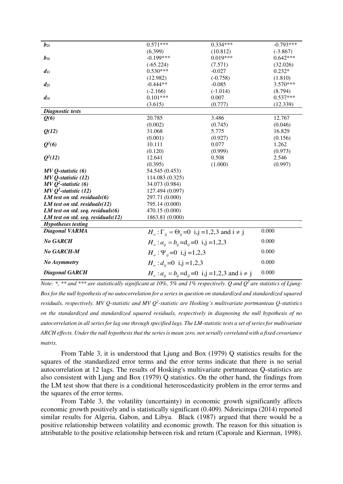| $b_{2i}$                              | $0.571***$                                                                    | $0.334***$ | $-0.793***$ |
|---------------------------------------|-------------------------------------------------------------------------------|------------|-------------|
|                                       | (6.399)                                                                       | (10.812)   | $(-3.867)$  |
| $b_{3i}$                              | $-0.199***$                                                                   | $0.019***$ | $0.642***$  |
|                                       | $(-65.224)$                                                                   | (7.571)    | (32.026)    |
| $d_{Ii}$                              | $0.530***$                                                                    | $-0.027$   | $0.232*$    |
|                                       | (12.982)                                                                      | $(-0.758)$ | (1.810)     |
| $d_{2i}$                              | $-0.444**$                                                                    | $-0.085$   | 3.570***    |
|                                       | $(-2.166)$                                                                    | $(-1.014)$ | (8.794)     |
| $d_{3i}$                              | $0.101***$                                                                    | 0.007      | $0.537***$  |
|                                       | (3.615)                                                                       | (0.777)    | (12.339)    |
| <b>Diagnostic tests</b>               |                                                                               |            |             |
| Q(6)                                  | 20.785                                                                        | 3.486      | 12.767      |
|                                       | (0.002)                                                                       | (0.745)    | (0.046)     |
| Q(12)                                 | 31.068                                                                        | 5.775      | 16.829      |
|                                       | (0.001)                                                                       | (0.927)    | (0.156)     |
| $Q^2(6)$                              | 10.111                                                                        | 0.077      | 1.262       |
|                                       | (0.120)                                                                       | (0.999)    | (0.973)     |
| $Q^2(12)$                             | 12.641                                                                        | 0.508      | 2.546       |
|                                       | (0.395)                                                                       | (1.000)    | (0.997)     |
| $MVQ$ -statistic $(6)$                | 54.545 (0.453)                                                                |            |             |
| $MVQ$ -statistic $(12)$               | 114.083 (0.325)                                                               |            |             |
| $MVQ2$ -statistic (6)                 | 34.073 (0.984)                                                                |            |             |
| $MVQ2$ -statistic (12)                | 127.494 (0.097)                                                               |            |             |
| LM test on std. residuals $(6)$       | 297.71 (0.000)                                                                |            |             |
| LM test on std. residuals $(12)$      | 795.14 (0.000)                                                                |            |             |
| LM test on std. seq. residuals $(6)$  | 470.15 (0.000)                                                                |            |             |
| LM test on std. seq. residuals $(12)$ | 1863.81 (0.000)                                                               |            |             |
| <b>Hypotheses testing</b>             |                                                                               |            |             |
| <b>Diagonal VARMA</b>                 | $Ho: \Gamma_{ii} = \Theta_{ii} = 0$ i,j =1,2,3 and i $\neq$ j                 |            | 0.000       |
| <b>No GARCH</b>                       | $H_o: a_{ii} = b_{ii} = d_{ii} = 0$ i,j =1,2,3                                |            | 0.000       |
| No GARCH-M                            | $H_{\scriptscriptstyle{o}}$ : $\Psi_{\scriptscriptstyle{i}i}$ = 0 i,j = 1,2,3 |            | 0.000       |
| <b>No Asymmetry</b>                   | $H_{\alpha}$ : $d_{ii}$ = 0 i,j = 1,2,3                                       |            | 0.000       |
| <b>Diagonal GARCH</b>                 | $H_o: a_{ii} = b_{ii} = d_{ii} = 0$ i,j =1,2,3 and i $\neq$ j                 |            | 0.000       |

*Note: \*, \*\* and \*\*\* are statistically significant at 10%, 5% and 1% respectively. Q and Q2 are statistics of Ljung-Box for the null hypothesis of no autocorrelation for a series in question on standardized and standardized squared residuals, respectively. MV Q-statistic and MV Q<sup>2</sup>-statistic are Hosking's multivariate portmanteau Q-statistics on the standardized and standardized squared residuals, respectively in diagnosing the null hypothesis of no autocorrelation in all series for lag one through specified lags. The LM-statistic tests a set of series for multivariate ARCH effects. Under the null hypothesis that the series is mean zero, not serially correlated with a fixed covariance matrix.* 

From Table 3, it is understood that Ljung and Box (1979) Q statistics results for the squares of the standardized error terms and the error terms indicate that there is no serial autocorrelation at 12 lags. The results of Hosking's multivariate portmanteau Q-statistics are also consistent with Ljung and Box (1979) Q statistics. On the other hand, the findings from the LM test show that there is a conditional heteroscedasticity problem in the error terms and the squares of the error terms.

From Table 3, the volatility (uncertainty) in economic growth significantly affects economic growth positively and is statistically significant (0.409). Ndoricimpa (2014) reported similar results for Algeria, Gabon, and Libya. Black (1987) argued that there would be a positive relationship between volatility and economic growth. The reason for this situation is attributable to the positive relationship between risk and return (Caporale and Kierman, 1998).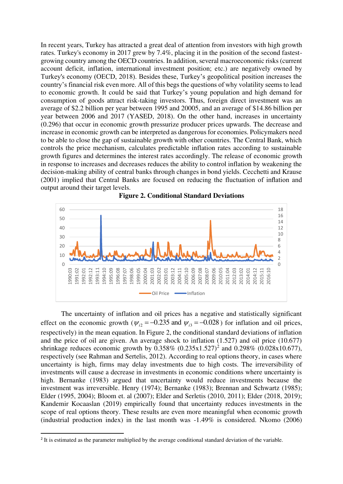In recent years, Turkey has attracted a great deal of attention from investors with high growth rates. Turkey's economy in 2017 grew by 7.4%, placing it in the position of the second fastestgrowing country among the OECD countries. In addition, several macroeconomic risks (current account deficit, inflation, international investment position; etc.) are negatively owned by Turkey's economy (OECD, 2018). Besides these, Turkey's geopolitical position increases the country's financial risk even more. All of this begs the questions of why volatility seems to lead to economic growth. It could be said that Turkey's young population and high demand for consumption of goods attract risk-taking investors. Thus, foreign direct investment was an average of \$2.2 billion per year between 1995 and 20005, and an average of \$14.86 billion per year between 2006 and 2017 (YASED, 2018). On the other hand, increases in uncertainty (0.296) that occur in economic growth pressurize producer prices upwards. The decrease and increase in economic growth can be interpreted as dangerous for economies. Policymakers need to be able to close the gap of sustainable growth with other countries. The Central Bank, which controls the price mechanism, calculates predictable inflation rates according to sustainable growth figures and determines the interest rates accordingly. The release of economic growth in response to increases and decreases reduces the ability to control inflation by weakening the decision-making ability of central banks through changes in bond yields. Cecchetti and Krause (2001) implied that Central Banks are focused on reducing the fluctuation of inflation and output around their target levels.





The uncertainty of inflation and oil prices has a negative and statistically significant effect on the economic growth ( $\psi_{i2} = -0.235$  and  $\psi_{i3} = -0.028$ ) for inflation and oil prices, respectively) in the mean equation. In Figure 2, the conditional standard deviations of inflation and the price of oil are given. An average shock to inflation (1.527) and oil price (10.677) shrinkage reduces economic growth by  $0.358\%$   $(0.235x1.527)^2$  and  $0.298\%$   $(0.028x10.677)$ , respectively (see Rahman and Sertelis, 2012). According to real options theory, in cases where uncertainty is high, firms may delay investments due to high costs. The irreversibility of investments will cause a decrease in investments in economic conditions where uncertainty is high. Bernanke (1983) argued that uncertainty would reduce investments because the investment was irreversible. Henry (1974); Bernanke (1983); Brennan and Schwartz (1985); Elder (1995, 2004); Bloom et. al (2007); Elder and Serletis (2010, 2011); Elder (2018, 2019); Kandemir Kocaaslan (2019) empirically found that uncertainty reduces investments in the scope of real options theory. These results are even more meaningful when economic growth (industrial production index) in the last month was -1.49% is considered. Nkomo (2006)

<sup>&</sup>lt;sup>2</sup> It is estimated as the parameter multiplied by the average conditional standard deviation of the variable.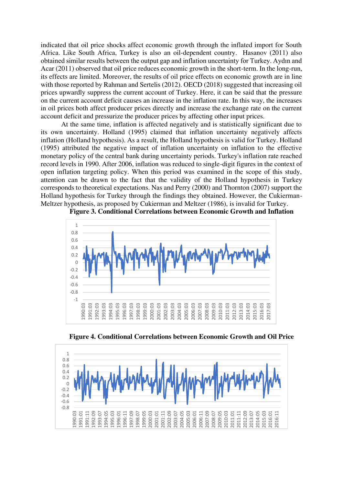indicated that oil price shocks affect economic growth through the inflated import for South Africa. Like South Africa, Turkey is also an oil-dependent country. Hasanov (2011) also obtained similar results between the output gap and inflation uncertainty for Turkey. Aydın and Acar (2011) observed that oil price reduces economic growth in the short-term. In the long-run, its effects are limited. Moreover, the results of oil price effects on economic growth are in line with those reported by Rahman and Sertelis (2012). OECD (2018) suggested that increasing oil prices upwardly suppress the current account of Turkey. Here, it can be said that the pressure on the current account deficit causes an increase in the inflation rate. In this way, the increases in oil prices both affect producer prices directly and increase the exchange rate on the current account deficit and pressurize the producer prices by affecting other input prices.

At the same time, inflation is affected negatively and is statistically significant due to its own uncertainty. Holland (1995) claimed that inflation uncertainty negatively affects inflation (Holland hypothesis). As a result, the Holland hypothesis is valid for Turkey. Holland (1995) attributed the negative impact of inflation uncertainty on inflation to the effective monetary policy of the central bank during uncertainty periods. Turkey's inflation rate reached record levels in 1990. After 2006, inflation was reduced to single-digit figures in the context of open inflation targeting policy. When this period was examined in the scope of this study, attention can be drawn to the fact that the validity of the Holland hypothesis in Turkey corresponds to theoretical expectations. Nas and Perry (2000) and Thornton (2007) support the Holland hypothesis for Turkey through the findings they obtained. However, the Cukierman-Meltzer hypothesis, as proposed by Cukierman and Meltzer (1986), is invalid for Turkey.



**Figure 3. Conditional Correlations between Economic Growth and Inflation** 

**Figure 4. Conditional Correlations between Economic Growth and Oil Price** 

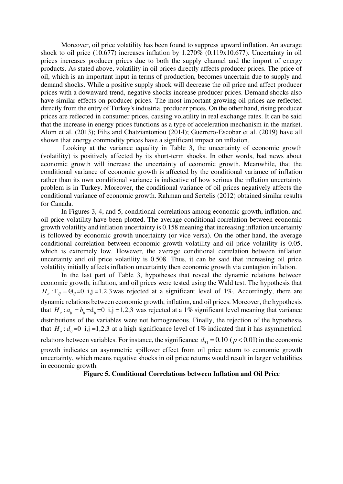Moreover, oil price volatility has been found to suppress upward inflation. An average shock to oil price (10.677) increases inflation by 1.270% (0.119x10.677). Uncertainty in oil prices increases producer prices due to both the supply channel and the import of energy products. As stated above, volatility in oil prices directly affects producer prices. The price of oil, which is an important input in terms of production, becomes uncertain due to supply and demand shocks. While a positive supply shock will decrease the oil price and affect producer prices with a downward trend, negative shocks increase producer prices. Demand shocks also have similar effects on producer prices. The most important growing oil prices are reflected directly from the entry of Turkey's industrial producer prices. On the other hand, rising producer prices are reflected in consumer prices, causing volatility in real exchange rates. It can be said that the increase in energy prices functions as a type of acceleration mechanism in the market. Alom et al. (2013); Filis and Chatziantoniou (2014); Guerrero-Escobar et al. (2019) have all shown that energy commodity prices have a significant impact on inflation.

 Looking at the variance equality in Table 3, the uncertainty of economic growth (volatility) is positively affected by its short-term shocks. In other words, bad news about economic growth will increase the uncertainty of economic growth. Meanwhile, that the conditional variance of economic growth is affected by the conditional variance of inflation rather than its own conditional variance is indicative of how serious the inflation uncertainty problem is in Turkey. Moreover, the conditional variance of oil prices negatively affects the conditional variance of economic growth. Rahman and Sertelis (2012) obtained similar results for Canada.

In Figures 3, 4, and 5, conditional correlations among economic growth, inflation, and oil price volatility have been plotted. The average conditional correlation between economic growth volatility and inflation uncertainty is 0.158 meaning that increasing inflation uncertainty is followed by economic growth uncertainty (or vice versa). On the other hand, the average conditional correlation between economic growth volatility and oil price volatility is 0.05, which is extremely low. However, the average conditional correlation between inflation uncertainty and oil price volatility is 0.508. Thus, it can be said that increasing oil price volatility initially affects inflation uncertainty then economic growth via contagion inflation.

In the last part of Table 3, hypotheses that reveal the dynamic relations between economic growth, inflation, and oil prices were tested using the Wald test. The hypothesis that  $H_o: \Gamma_{ij} = \Theta_{ij} = 0$  i,j =1,2,3 was rejected at a significant level of 1%. Accordingly, there are dynamic relations between economic growth, inflation, and oil prices. Moreover, the hypothesis that  $H_o: a_{ii} = b_{ii} = d_{ii} = 0$  i,j =1,2,3 was rejected at a 1% significant level meaning that variance distributions of the variables were not homogeneous. Finally, the rejection of the hypothesis that  $H_a: d_{ii} = 0$  i,j =1,2,3 at a high significance level of 1% indicated that it has asymmetrical relations between variables. For instance, the significance  $d_{31} = 0.10$  ( $p < 0.01$ ) in the economic growth indicates an asymmetric spillover effect from oil price return to economic growth uncertainty, which means negative shocks in oil price returns would result in larger volatilities in economic growth.

**Figure 5. Conditional Correlations between Inflation and Oil Price**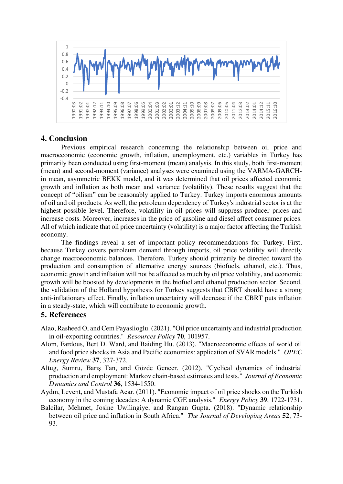

# **4. Conclusion**

Previous empirical research concerning the relationship between oil price and macroeconomic (economic growth, inflation, unemployment, etc.) variables in Turkey has primarily been conducted using first-moment (mean) analysis. In this study, both first-moment (mean) and second-moment (variance) analyses were examined using the VARMA-GARCHin mean, asymmetric BEKK model, and it was determined that oil prices affected economic growth and inflation as both mean and variance (volatility). These results suggest that the concept of "oilism" can be reasonably applied to Turkey. Turkey imports enormous amounts of oil and oil products. As well, the petroleum dependency of Turkey's industrial sector is at the highest possible level. Therefore, volatility in oil prices will suppress producer prices and increase costs. Moreover, increases in the price of gasoline and diesel affect consumer prices. All of which indicate that oil price uncertainty (volatility) is a major factor affecting the Turkish economy.

The findings reveal a set of important policy recommendations for Turkey. First, because Turkey covers petroleum demand through imports, oil price volatility will directly change macroeconomic balances. Therefore, Turkey should primarily be directed toward the production and consumption of alternative energy sources (biofuels, ethanol, etc.). Thus, economic growth and inflation will not be affected as much by oil price volatility, and economic growth will be boosted by developments in the biofuel and ethanol production sector. Second, the validation of the Holland hypothesis for Turkey suggests that CBRT should have a strong anti-inflationary effect. Finally, inflation uncertainty will decrease if the CBRT puts inflation in a steady-state, which will contribute to economic growth.

### **5. References**

- Alao, Rasheed O, and Cem Payaslioglu. (2021). "Oil price uncertainty and industrial production in oil-exporting countries." *Resources Policy* **70**, 101957.
- Alom, Fardous, Bert D. Ward, and Baiding Hu. (2013). "Macroeconomic effects of world oil and food price shocks in Asia and Pacific economies: application of SVAR models." *OPEC Energy Review* **37**, 327-372.
- Altug, Sumru, Barış Tan, and Gözde Gencer. (2012). "Cyclical dynamics of industrial production and employment: Markov chain-based estimates and tests." *Journal of Economic Dynamics and Control* **36**, 1534-1550.
- Aydın, Levent, and Mustafa Acar. (2011). "Economic impact of oil price shocks on the Turkish economy in the coming decades: A dynamic CGE analysis." *Energy Policy* **39**, 1722-1731.
- Balcilar, Mehmet, Josine Uwilingiye, and Rangan Gupta. (2018). "Dynamic relationship between oil price and inflation in South Africa." *The Journal of Developing Areas* **52**, 73- 93.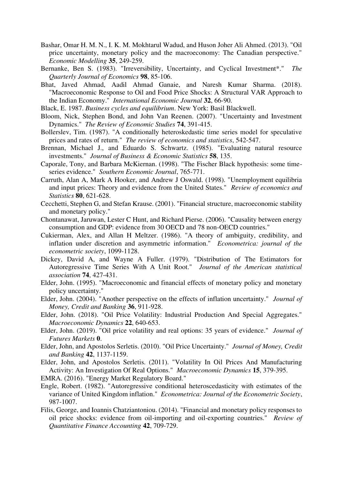- Bashar, Omar H. M. N., I. K. M. Mokhtarul Wadud, and Huson Joher Ali Ahmed. (2013). "Oil price uncertainty, monetary policy and the macroeconomy: The Canadian perspective." *Economic Modelling* **35**, 249-259.
- Bernanke, Ben S. (1983). "Irreversibility, Uncertainty, and Cyclical Investment\*." *The Quarterly Journal of Economics* **98**, 85-106.
- Bhat, Javed Ahmad, Aadil Ahmad Ganaie, and Naresh Kumar Sharma. (2018). "Macroeconomic Response to Oil and Food Price Shocks: A Structural VAR Approach to the Indian Economy." *International Economic Journal* **32**, 66-90.
- Black, E. 1987. *Business cycles and equilibrium*. New York: Basil Blackwell.
- Bloom, Nick, Stephen Bond, and John Van Reenen. (2007). "Uncertainty and Investment Dynamics." *The Review of Economic Studies* **74**, 391-415.
- Bollerslev, Tim. (1987). "A conditionally heteroskedastic time series model for speculative prices and rates of return." *The review of economics and statistics*, 542-547.
- Brennan, Michael J., and Eduardo S. Schwartz. (1985). "Evaluating natural resource investments." *Journal of Business & Economic Statistics* **58**, 135.
- Caporale, Tony, and Barbara McKiernan. (1998). "The Fischer Black hypothesis: some timeseries evidence." *Southern Economic Journal*, 765-771.
- Carruth, Alan A, Mark A Hooker, and Andrew J Oswald. (1998). "Unemployment equilibria and input prices: Theory and evidence from the United States." *Review of economics and Statistics* **80**, 621-628.
- Cecchetti, Stephen G, and Stefan Krause. (2001). "Financial structure, macroeconomic stability and monetary policy."
- Chontanawat, Jaruwan, Lester C Hunt, and Richard Pierse. (2006). "Causality between energy consumption and GDP: evidence from 30 OECD and 78 non-OECD countries."
- Cukierman, Alex, and Allan H Meltzer. (1986). "A theory of ambiguity, credibility, and inflation under discretion and asymmetric information." *Econometrica: journal of the econometric society*, 1099-1128.
- Dickey, David A, and Wayne A Fuller. (1979). "Distribution of The Estimators for Autoregressive Time Series With A Unit Root." *Journal of the American statistical association* **74**, 427-431.
- Elder, John. (1995). "Macroeconomic and financial effects of monetary policy and monetary policy uncertainty."
- Elder, John. (2004). "Another perspective on the effects of inflation uncertainty." *Journal of Money, Credit and Banking* **36**, 911-928.
- Elder, John. (2018). "Oil Price Volatility: Industrial Production And Special Aggregates." *Macroeconomic Dynamics* **22**, 640-653.
- Elder, John. (2019). "Oil price volatility and real options: 35 years of evidence." *Journal of Futures Markets* **0**.
- Elder, John, and Apostolos Serletis. (2010). "Oil Price Uncertainty." *Journal of Money, Credit and Banking* **42**, 1137-1159.
- Elder, John, and Apostolos Serletis. (2011). "Volatility In Oil Prices And Manufacturing Activity: An Investigation Of Real Options." *Macroeconomic Dynamics* **15**, 379-395.
- EMRA. (2016). "Energy Market Regulatory Board."
- Engle, Robert. (1982). "Autoregressive conditional heteroscedasticity with estimates of the variance of United Kingdom inflation." *Econometrica: Journal of the Econometric Society*, 987-1007.
- Filis, George, and Ioannis Chatziantoniou. (2014). "Financial and monetary policy responses to oil price shocks: evidence from oil-importing and oil-exporting countries." *Review of Quantitative Finance Accounting* **42**, 709-729.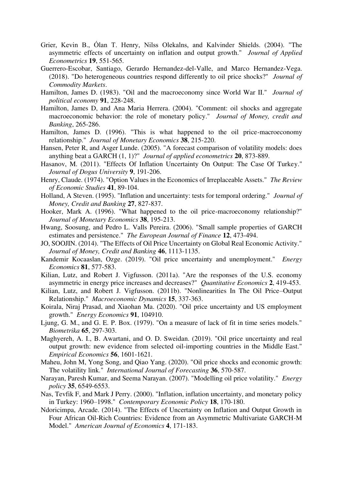- Grier, Kevin B., Ólan T. Henry, Nilss Olekalns, and Kalvinder Shields. (2004). "The asymmetric effects of uncertainty on inflation and output growth." *Journal of Applied Econometrics* **19**, 551-565.
- Guerrero-Escobar, Santiago, Gerardo Hernandez-del-Valle, and Marco Hernandez-Vega. (2018). "Do heterogeneous countries respond differently to oil price shocks?" *Journal of Commodity Markets*.
- Hamilton, James D. (1983). "Oil and the macroeconomy since World War II." *Journal of political economy* **91**, 228-248.
- Hamilton, James D, and Ana Maria Herrera. (2004). "Comment: oil shocks and aggregate macroeconomic behavior: the role of monetary policy." *Journal of Money, credit and Banking*, 265-286.
- Hamilton, James D. (1996). "This is what happened to the oil price-macroeconomy relationship." *Journal of Monetary Economics* **38**, 215-220.
- Hansen, Peter R, and Asger Lunde. (2005). "A forecast comparison of volatility models: does anything beat a GARCH (1, 1)?" *Journal of applied econometrics* **20**, 873-889.
- Hasanov, M. (2011). "Effects Of Inflation Uncertainty On Output: The Case Of Turkey." *Journal of Dogus University* **9**, 191-206.
- Henry, Claude. (1974). "Option Values in the Economics of Irreplaceable Assets." *The Review of Economic Studies* **41**, 89-104.
- Holland, A Steven. (1995). "Inflation and uncertainty: tests for temporal ordering." *Journal of Money, Credit and Banking* **27**, 827-837.
- Hooker, Mark A. (1996). "What happened to the oil price-macroeconomy relationship?" *Journal of Monetary Economics* **38**, 195-213.
- Hwang, Soosung, and Pedro L. Valls Pereira. (2006). "Small sample properties of GARCH estimates and persistence." *The European Journal of Finance* **12**, 473-494.
- JO, SOOJIN. (2014). "The Effects of Oil Price Uncertainty on Global Real Economic Activity." *Journal of Money, Credit and Banking* **46**, 1113-1135.
- Kandemir Kocaaslan, Ozge. (2019). "Oil price uncertainty and unemployment." *Energy Economics* **81**, 577-583.
- Kilian, Lutz, and Robert J. Vigfusson. (2011a). "Are the responses of the U.S. economy asymmetric in energy price increases and decreases?" *Quantitative Economics* **2**, 419-453.
- Kilian, Lutz, and Robert J. Vigfusson. (2011b). "Nonlinearities In The Oil Price–Output Relationship." *Macroeconomic Dynamics* **15**, 337-363.
- Koirala, Niraj Prasad, and Xiaohan Ma. (2020). "Oil price uncertainty and US employment growth." *Energy Economics* **91**, 104910.
- Ljung, G. M., and G. E. P. Box. (1979). "On a measure of lack of fit in time series models." *Biometrika* **65**, 297-303.
- Maghyereh, A. I., B. Awartani, and O. D. Sweidan. (2019). "Oil price uncertainty and real output growth: new evidence from selected oil-importing countries in the Middle East." *Empirical Economics* **56**, 1601-1621.
- Maheu, John M, Yong Song, and Qiao Yang. (2020). "Oil price shocks and economic growth: The volatility link." *International Journal of Forecasting* **36**, 570-587.
- Narayan, Paresh Kumar, and Seema Narayan. (2007). "Modelling oil price volatility." *Energy policy* **35**, 6549-6553.
- Nas, Tevfik F, and Mark J Perry. (2000). "Inflation, inflation uncertainty, and monetary policy in Turkey: 1960–1998." *Contemporary Economic Policy* **18**, 170-180.
- Ndoricimpa, Arcade. (2014). "The Effects of Uncertainty on Inflation and Output Growth in Four African Oil-Rich Countries: Evidence from an Asymmetric Multivariate GARCH-M Model." *American Journal of Economics* **4**, 171-183.